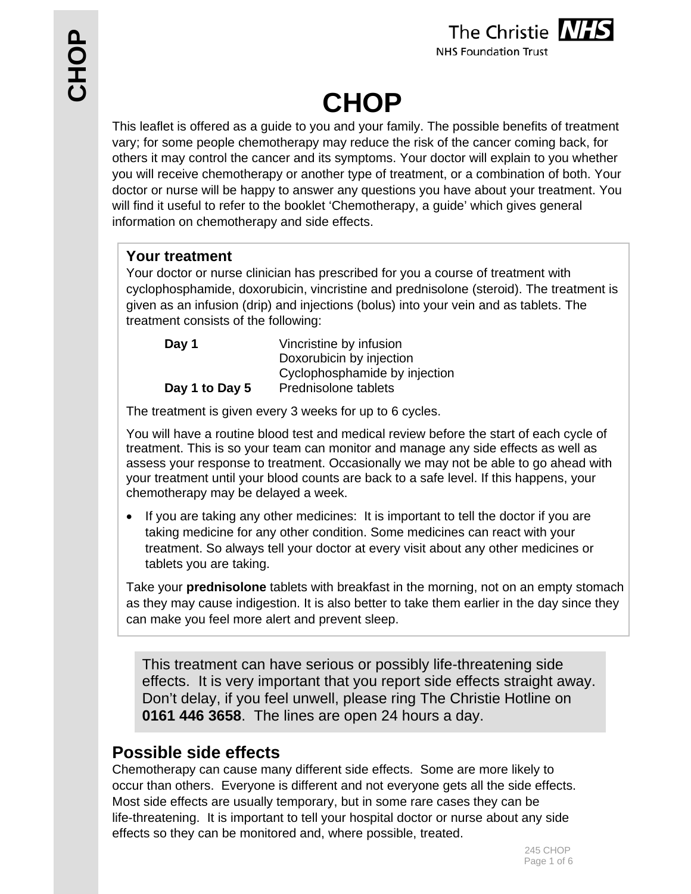

**NHS Foundation Trust** 

# **CHOP**

This leaflet is offered as a guide to you and your family. The possible benefits of treatment vary; for some people chemotherapy may reduce the risk of the cancer coming back, for others it may control the cancer and its symptoms. Your doctor will explain to you whether you will receive chemotherapy or another type of treatment, or a combination of both. Your doctor or nurse will be happy to answer any questions you have about your treatment. You will find it useful to refer to the booklet 'Chemotherapy, a guide' which gives general information on chemotherapy and side effects.

## **Your treatment**

Your doctor or nurse clinician has prescribed for you a course of treatment with cyclophosphamide, doxorubicin, vincristine and prednisolone (steroid). The treatment is given as an infusion (drip) and injections (bolus) into your vein and as tablets. The treatment consists of the following:

| Day 1          | Vincristine by infusion       |
|----------------|-------------------------------|
|                | Doxorubicin by injection      |
|                | Cyclophosphamide by injection |
| Day 1 to Day 5 | Prednisolone tablets          |

The treatment is given every 3 weeks for up to 6 cycles.

You will have a routine blood test and medical review before the start of each cycle of treatment. This is so your team can monitor and manage any side effects as well as assess your response to treatment. Occasionally we may not be able to go ahead with your treatment until your blood counts are back to a safe level. If this happens, your chemotherapy may be delayed a week.

• If you are taking any other medicines: It is important to tell the doctor if you are taking medicine for any other condition. Some medicines can react with your treatment. So always tell your doctor at every visit about any other medicines or tablets you are taking.

Take your **prednisolone** tablets with breakfast in the morning, not on an empty stomach as they may cause indigestion. It is also better to take them earlier in the day since they can make you feel more alert and prevent sleep.

This treatment can have serious or possibly life-threatening side effects. It is very important that you report side effects straight away. Don't delay, if you feel unwell, please ring The Christie Hotline on **0161 446 3658**. The lines are open 24 hours a day.

## **Possible side effects**

Chemotherapy can cause many different side effects. Some are more likely to occur than others. Everyone is different and not everyone gets all the side effects. Most side effects are usually temporary, but in some rare cases they can be life-threatening. It is important to tell your hospital doctor or nurse about any side effects so they can be monitored and, where possible, treated.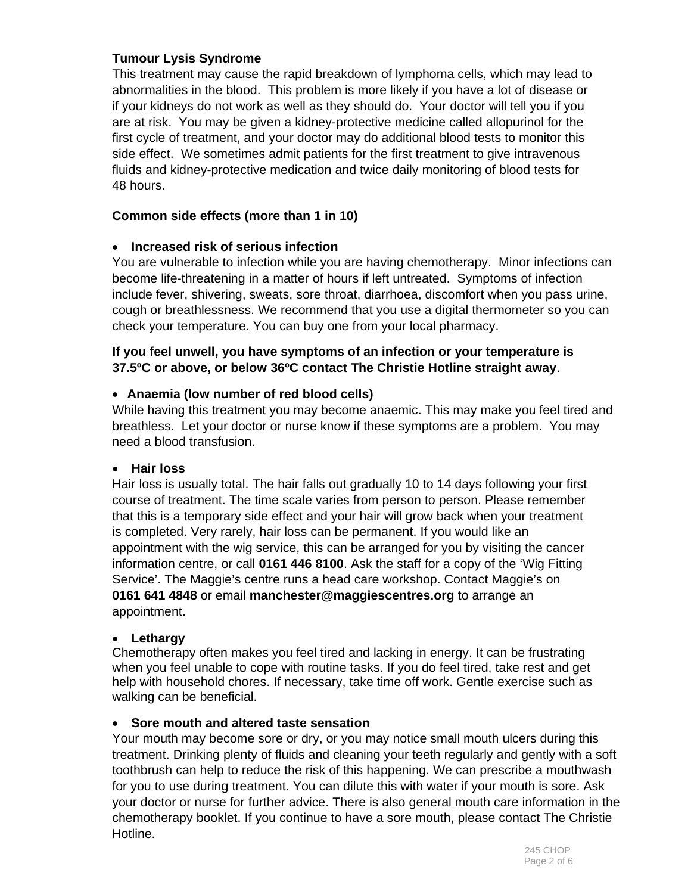#### **Tumour Lysis Syndrome**

This treatment may cause the rapid breakdown of lymphoma cells, which may lead to abnormalities in the blood. This problem is more likely if you have a lot of disease or if your kidneys do not work as well as they should do. Your doctor will tell you if you are at risk. You may be given a kidney-protective medicine called allopurinol for the first cycle of treatment, and your doctor may do additional blood tests to monitor this side effect. We sometimes admit patients for the first treatment to give intravenous fluids and kidney-protective medication and twice daily monitoring of blood tests for 48 hours.

#### **Common side effects (more than 1 in 10)**

#### **Increased risk of serious infection**

You are vulnerable to infection while you are having chemotherapy. Minor infections can become life-threatening in a matter of hours if left untreated. Symptoms of infection include fever, shivering, sweats, sore throat, diarrhoea, discomfort when you pass urine, cough or breathlessness. We recommend that you use a digital thermometer so you can check your temperature. You can buy one from your local pharmacy.

#### **If you feel unwell, you have symptoms of an infection or your temperature is 37.5ºC or above, or below 36ºC contact The Christie Hotline straight away**.

#### **Anaemia (low number of red blood cells)**

While having this treatment you may become anaemic. This may make you feel tired and breathless. Let your doctor or nurse know if these symptoms are a problem. You may need a blood transfusion.

#### **Hair loss**

Hair loss is usually total. The hair falls out gradually 10 to 14 days following your first course of treatment. The time scale varies from person to person. Please remember that this is a temporary side effect and your hair will grow back when your treatment is completed. Very rarely, hair loss can be permanent. If you would like an appointment with the wig service, this can be arranged for you by visiting the cancer information centre, or call **0161 446 8100**. Ask the staff for a copy of the 'Wig Fitting Service'. The Maggie's centre runs a head care workshop. Contact Maggie's on **0161 641 4848** or email **manchester@maggiescentres.org** to arrange an appointment.

#### **Lethargy**

Chemotherapy often makes you feel tired and lacking in energy. It can be frustrating when you feel unable to cope with routine tasks. If you do feel tired, take rest and get help with household chores. If necessary, take time off work. Gentle exercise such as walking can be beneficial.

#### **Sore mouth and altered taste sensation**

Your mouth may become sore or dry, or you may notice small mouth ulcers during this treatment. Drinking plenty of fluids and cleaning your teeth regularly and gently with a soft toothbrush can help to reduce the risk of this happening. We can prescribe a mouthwash for you to use during treatment. You can dilute this with water if your mouth is sore. Ask your doctor or nurse for further advice. There is also general mouth care information in the chemotherapy booklet. If you continue to have a sore mouth, please contact The Christie Hotline.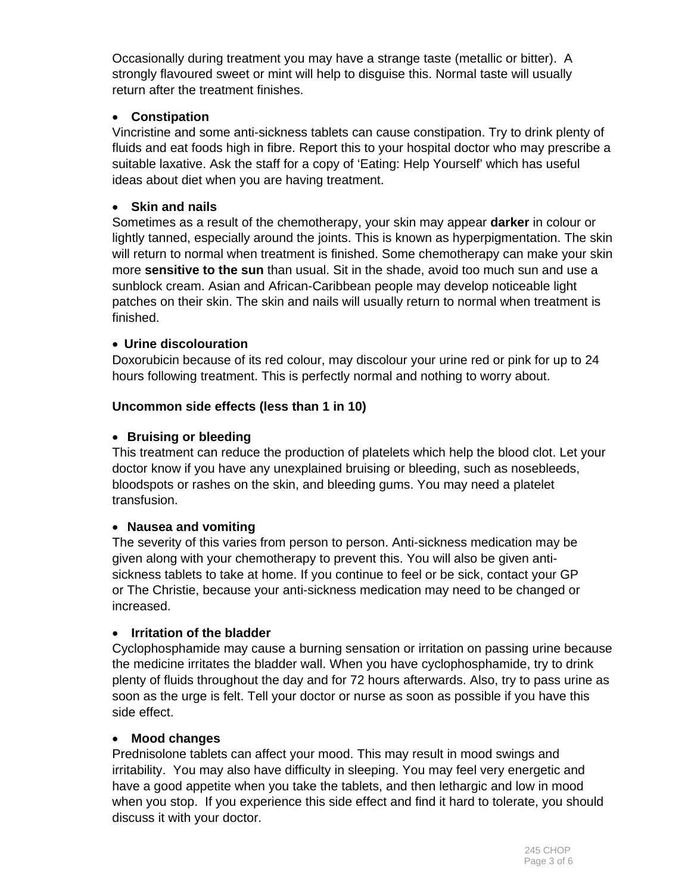Occasionally during treatment you may have a strange taste (metallic or bitter). A strongly flavoured sweet or mint will help to disguise this. Normal taste will usually return after the treatment finishes.

#### **Constipation**

Vincristine and some anti-sickness tablets can cause constipation. Try to drink plenty of fluids and eat foods high in fibre. Report this to your hospital doctor who may prescribe a suitable laxative. Ask the staff for a copy of 'Eating: Help Yourself' which has useful ideas about diet when you are having treatment.

#### **Skin and nails**

Sometimes as a result of the chemotherapy, your skin may appear **darker** in colour or lightly tanned, especially around the joints. This is known as hyperpigmentation. The skin will return to normal when treatment is finished. Some chemotherapy can make your skin more **sensitive to the sun** than usual. Sit in the shade, avoid too much sun and use a sunblock cream. Asian and African-Caribbean people may develop noticeable light patches on their skin. The skin and nails will usually return to normal when treatment is finished.

#### **Urine discolouration**

Doxorubicin because of its red colour, may discolour your urine red or pink for up to 24 hours following treatment. This is perfectly normal and nothing to worry about.

#### **Uncommon side effects (less than 1 in 10)**

#### **Bruising or bleeding**

This treatment can reduce the production of platelets which help the blood clot. Let your doctor know if you have any unexplained bruising or bleeding, such as nosebleeds, bloodspots or rashes on the skin, and bleeding gums. You may need a platelet transfusion.

#### **Nausea and vomiting**

The severity of this varies from person to person. Anti-sickness medication may be given along with your chemotherapy to prevent this. You will also be given antisickness tablets to take at home. If you continue to feel or be sick, contact your GP or The Christie, because your anti-sickness medication may need to be changed or increased.

#### **Irritation of the bladder**

Cyclophosphamide may cause a burning sensation or irritation on passing urine because the medicine irritates the bladder wall. When you have cyclophosphamide, try to drink plenty of fluids throughout the day and for 72 hours afterwards. Also, try to pass urine as soon as the urge is felt. Tell your doctor or nurse as soon as possible if you have this side effect.

#### **Mood changes**

Prednisolone tablets can affect your mood. This may result in mood swings and irritability. You may also have difficulty in sleeping. You may feel very energetic and have a good appetite when you take the tablets, and then lethargic and low in mood when you stop. If you experience this side effect and find it hard to tolerate, you should discuss it with your doctor.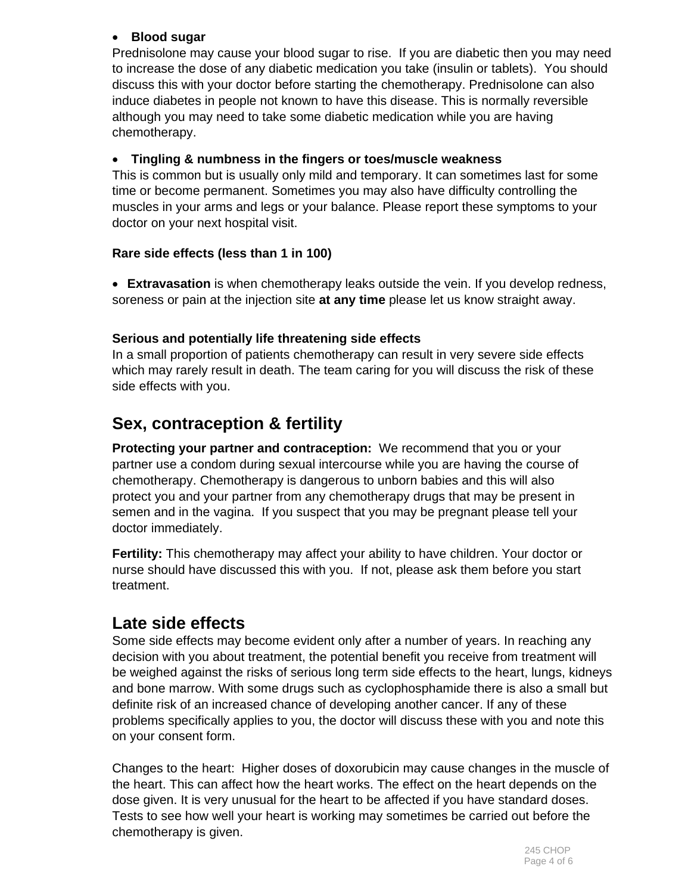#### **Blood sugar**

Prednisolone may cause your blood sugar to rise. If you are diabetic then you may need to increase the dose of any diabetic medication you take (insulin or tablets). You should discuss this with your doctor before starting the chemotherapy. Prednisolone can also induce diabetes in people not known to have this disease. This is normally reversible although you may need to take some diabetic medication while you are having chemotherapy.

#### **Tingling & numbness in the fingers or toes/muscle weakness**

This is common but is usually only mild and temporary. It can sometimes last for some time or become permanent. Sometimes you may also have difficulty controlling the muscles in your arms and legs or your balance. Please report these symptoms to your doctor on your next hospital visit.

#### **Rare side effects (less than 1 in 100)**

 **Extravasation** is when chemotherapy leaks outside the vein. If you develop redness, soreness or pain at the injection site **at any time** please let us know straight away.

#### **Serious and potentially life threatening side effects**

In a small proportion of patients chemotherapy can result in very severe side effects which may rarely result in death. The team caring for you will discuss the risk of these side effects with you.

# **Sex, contraception & fertility**

**Protecting your partner and contraception:** We recommend that you or your partner use a condom during sexual intercourse while you are having the course of chemotherapy. Chemotherapy is dangerous to unborn babies and this will also protect you and your partner from any chemotherapy drugs that may be present in semen and in the vagina. If you suspect that you may be pregnant please tell your doctor immediately.

**Fertility:** This chemotherapy may affect your ability to have children. Your doctor or nurse should have discussed this with you. If not, please ask them before you start treatment.

# **Late side effects**

Some side effects may become evident only after a number of years. In reaching any decision with you about treatment, the potential benefit you receive from treatment will be weighed against the risks of serious long term side effects to the heart, lungs, kidneys and bone marrow. With some drugs such as cyclophosphamide there is also a small but definite risk of an increased chance of developing another cancer. If any of these problems specifically applies to you, the doctor will discuss these with you and note this on your consent form.

Changes to the heart: Higher doses of doxorubicin may cause changes in the muscle of the heart. This can affect how the heart works. The effect on the heart depends on the dose given. It is very unusual for the heart to be affected if you have standard doses. Tests to see how well your heart is working may sometimes be carried out before the chemotherapy is given.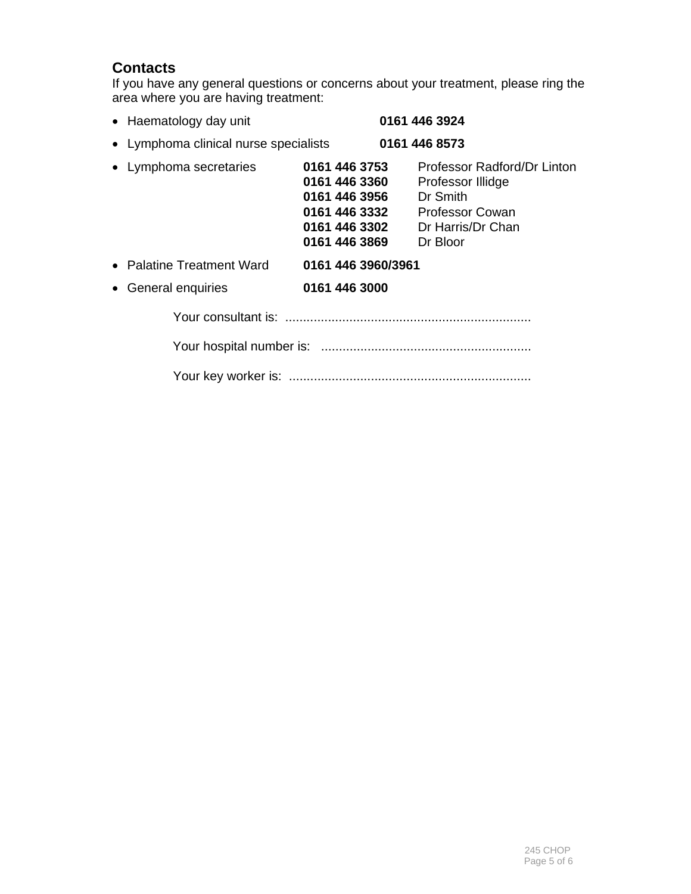## **Contacts**

If you have any general questions or concerns about your treatment, please ring the area where you are having treatment:

| • Haematology day unit                | 0161 446 3924                                                                                                                                                                                  |                             |
|---------------------------------------|------------------------------------------------------------------------------------------------------------------------------------------------------------------------------------------------|-----------------------------|
| • Lymphoma clinical nurse specialists | 0161 446 8573                                                                                                                                                                                  |                             |
| • Lymphoma secretaries                | 0161 446 3753<br>0161 446 3360<br>Professor Illidge<br>0161 446 3956<br>Dr Smith<br>0161 446 3332<br><b>Professor Cowan</b><br>0161 446 3302<br>Dr Harris/Dr Chan<br>0161 446 3869<br>Dr Bloor | Professor Radford/Dr Linton |
| • Palatine Treatment Ward             | 0161 446 3960/3961                                                                                                                                                                             |                             |
| General enquiries<br>$\bullet$        | 0161 446 3000                                                                                                                                                                                  |                             |
|                                       |                                                                                                                                                                                                |                             |
|                                       |                                                                                                                                                                                                |                             |
|                                       |                                                                                                                                                                                                |                             |